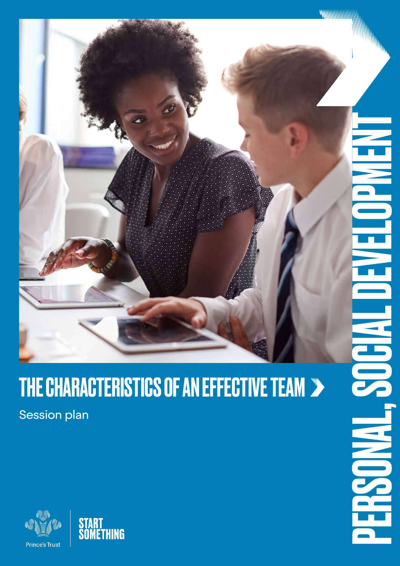

# THE CHARACTERISTICS OF AN EFFECTIVE TEAM >

ENGINE

Session plan



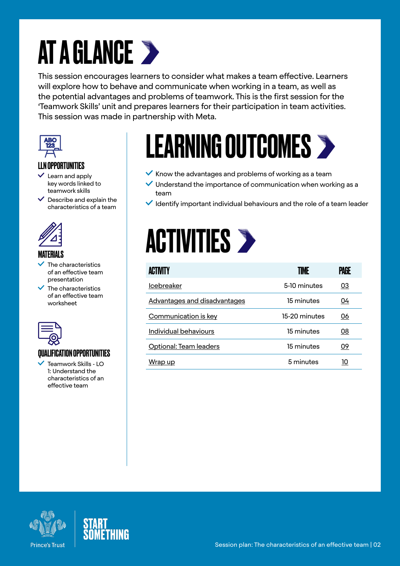# AT A GLANCE >

This session encourages learners to consider what makes a team effective. Learners will explore how to behave and communicate when working in a team, as well as the potential advantages and problems of teamwork. This is the first session for the 'Teamwork Skills' unit and prepares learners for their participation in team activities. This session was made in partnership with Meta.



#### LLN OPPORTUNITIES

- $\checkmark$  Learn and apply key words linked to teamwork skills
- $\vee$  Describe and explain the characteristics of a team



#### MATERIALS

- The characteristics of an effective team presentation
- $\overline{\phantom{a}}$  The characteristics of an effective team worksheet



### QUALIFICATION OPPORTUNITIES

 Teamwork Skills - LO 1: Understand the characteristics of an effective team

# LEARNING OUTCOMES

- $\checkmark$  Know the advantages and problems of working as a team
- $\vee$  Understand the importance of communication when working as a team
- $\vee$  Identify important individual behaviours and the role of a team leader

## **ACTIVITIES >**

| ACTIVITY                     | TIME          | Palil     |
|------------------------------|---------------|-----------|
| <b>Icebreaker</b>            | 5-10 minutes  | <u>03</u> |
| Advantages and disadvantages | 15 minutes    | 04        |
| Communication is key         | 15-20 minutes | 06        |
| Individual behaviours        | 15 minutes    | 08        |
| Optional: Team leaders       | 15 minutes    | 09        |
| Wrap up                      | 5 minutes     | 10        |



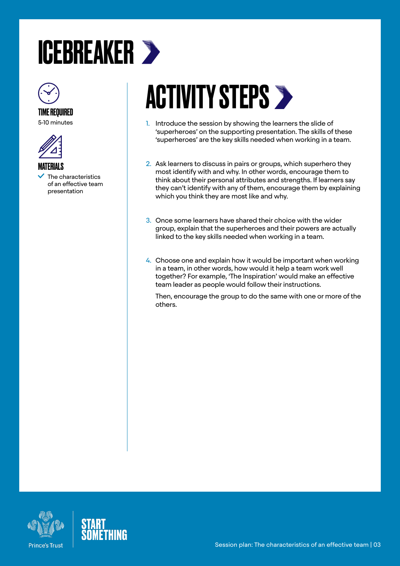# <span id="page-2-0"></span>ICEBREAKER



## TIME REQUIRED

5-10 minutes



MATERIALS

 The characteristics of an effective team presentation

# **ACTIVITY STEPS >**

- 1. Introduce the session by showing the learners the slide of 'superheroes' on the supporting presentation. The skills of these 'superheroes' are the key skills needed when working in a team.
- 2. Ask learners to discuss in pairs or groups, which superhero they most identify with and why. In other words, encourage them to think about their personal attributes and strengths. If learners say they can't identify with any of them, encourage them by explaining which you think they are most like and why.
- 3. Once some learners have shared their choice with the wider group, explain that the superheroes and their powers are actually linked to the key skills needed when working in a team.
- 4. Choose one and explain how it would be important when working in a team, in other words, how would it help a team work well together? For example, 'The Inspiration' would make an effective team leader as people would follow their instructions.

Then, encourage the group to do the same with one or more of the others.



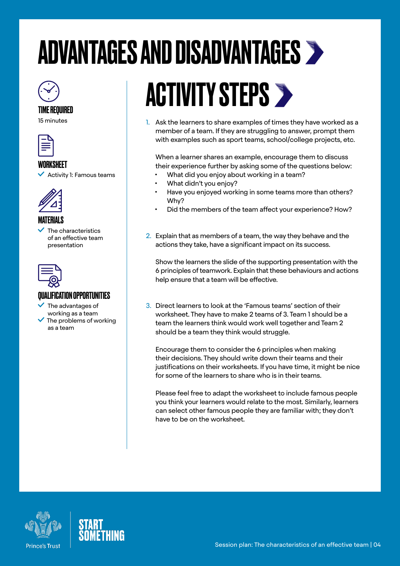# <span id="page-3-0"></span>ADVANTAGES AND DISADVANTAGES



#### TIME REQUIRED

15 minutes



#### **WORKSHFFT**

 $\blacktriangleright$  Activity 1: Famous teams



### MATERIALS

 The characteristics of an effective team presentation



### QUALIFICATION OPPORTUNITIES

 The advantages of working as a team  $\sqrt{\ }$  The problems of working as a team

# **ACTIVITY STEPS >**

1. Ask the learners to share examples of times they have worked as a member of a team. If they are struggling to answer, prompt them with examples such as sport teams, school/college projects, etc.

When a learner shares an example, encourage them to discuss their experience further by asking some of the questions below:

- What did you enjoy about working in a team?
- What didn't you enjoy?
- Have you enjoyed working in some teams more than others? Why?
- Did the members of the team affect your experience? How?
- 2. Explain that as members of a team, the way they behave and the actions they take, have a significant impact on its success.

Show the learners the slide of the supporting presentation with the 6 principles of teamwork. Explain that these behaviours and actions help ensure that a team will be effective.

3. Direct learners to look at the 'Famous teams' section of their worksheet. They have to make 2 teams of 3. Team 1 should be a team the learners think would work well together and Team 2 should be a team they think would struggle.

Encourage them to consider the 6 principles when making their decisions. They should write down their teams and their justifications on their worksheets. If you have time, it might be nice for some of the learners to share who is in their teams.

Please feel free to adapt the worksheet to include famous people you think your learners would relate to the most. Similarly, learners can select other famous people they are familiar with; they don't have to be on the worksheet.



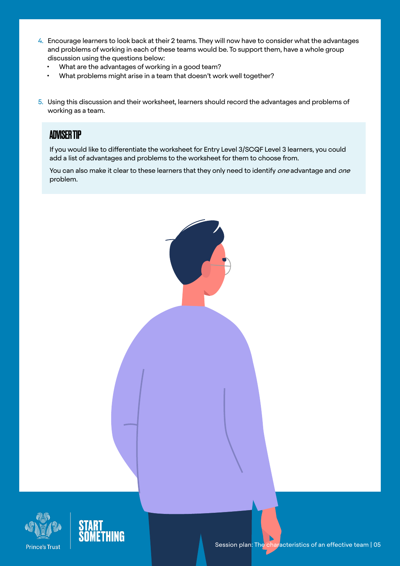- 4. Encourage learners to look back at their 2 teams. They will now have to consider what the advantages and problems of working in each of these teams would be. To support them, have a whole group discussion using the questions below:
	- What are the advantages of working in a good team?
	- What problems might arise in a team that doesn't work well together?
- 5. Using this discussion and their worksheet, learners should record the advantages and problems of working as a team.

### ADVISER TIP

If you would like to differentiate the worksheet for Entry Level 3/SCQF Level 3 learners, you could add a list of advantages and problems to the worksheet for them to choose from.

You can also make it clear to these learners that they only need to identify *one* advantage and *one* problem.





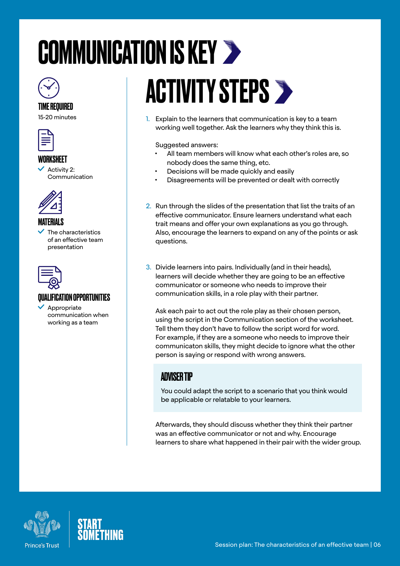# <span id="page-5-0"></span>COMMUNICATION IS KEY  $\gg$



#### TIME REQUIRED

15-20 minutes



#### WORKSHEET

 Activity 2: Communication



#### MATERIALS

 The characteristics of an effective team presentation



### QUALIFICATION OPPORTUNITIES

 Appropriate communication when working as a team

# **ACTIVITY STEPS >**

1. Explain to the learners that communication is key to a team working well together. Ask the learners why they think this is.

Suggested answers:

- All team members will know what each other's roles are, so nobody does the same thing, etc.
- Decisions will be made quickly and easily
- Disagreements will be prevented or dealt with correctly
- 2. Run through the slides of the presentation that list the traits of an effective communicator. Ensure learners understand what each trait means and offer your own explanations as you go through. Also, encourage the learners to expand on any of the points or ask questions.
- 3. Divide learners into pairs. Individually (and in their heads), learners will decide whether they are going to be an effective communicator or someone who needs to improve their communication skills, in a role play with their partner.

Ask each pair to act out the role play as their chosen person, using the script in the Communication section of the worksheet. Tell them they don't have to follow the script word for word. For example, if they are a someone who needs to improve their communicaton skills, they might decide to ignore what the other person is saying or respond with wrong answers.

## ADVISER TIP

You could adapt the script to a scenario that you think would be applicable or relatable to your learners.

Afterwards, they should discuss whether they think their partner was an effective communicator or not and why. Encourage learners to share what happened in their pair with the wider group.



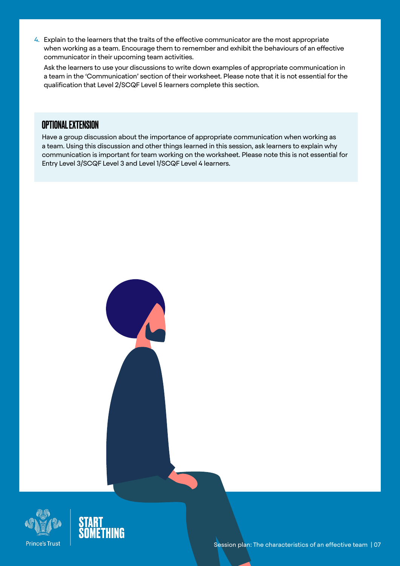4. Explain to the learners that the traits of the effective communicator are the most appropriate when working as a team. Encourage them to remember and exhibit the behaviours of an effective communicator in their upcoming team activities.

Ask the learners to use your discussions to write down examples of appropriate communication in a team in the 'Communication' section of their worksheet. Please note that it is not essential for the qualification that Level 2/SCQF Level 5 learners complete this section.

### OPTIONAL EXTENSION

Have a group discussion about the importance of appropriate communication when working as a team. Using this discussion and other things learned in this session, ask learners to explain why communication is important for team working on the worksheet. Please note this is not essential for Entry Level 3/SCQF Level 3 and Level 1/SCQF Level 4 learners.



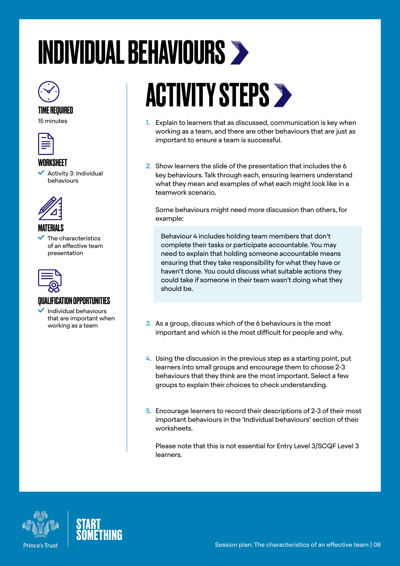# <span id="page-7-0"></span>INDIVIDUAL BEHAVIOURS



### TIME REQUIRED

15 minutes



#### **WORKSHEET**

 Activity 3: Individual behaviours



### MATERIALS

 The characteristics of an effective team presentation



### QUALIFICATION OPPORTUNITIES

 Individual behaviours that are important when working as a team

# **ACTIVITY STEPS >**

- 1. Explain to learners that as discussed, communication is key when working as a team, and there are other behaviours that are just as important to ensure a team is successful.
- 2. Show learners the slide of the presentation that includes the 6 key behaviours. Talk through each, ensuring learners understand what they mean and examples of what each might look like in a teamwork scenario.

Some behaviours might need more discussion than others, for example:

Behaviour 4 includes holding team members that don't complete their tasks or participate accountable. You may need to explain that holding someone accountable means ensuring that they take responsibility for what they have or haven't done. You could discuss what suitable actions they could take if someone in their team wasn't doing what they should be.

- 3. As a group, discuss which of the 6 behaviours is the most important and which is the most difficult for people and why.
- 4. Using the discussion in the previous step as a starting point, put learners into small groups and encourage them to choose 2-3 behaviours that they think are the most important. Select a few groups to explain their choices to check understanding.
- 5. Encourage learners to record their descriptions of 2-3 of their most important behaviours in the 'Individual behaviours' section of their worksheets.

Please note that this is not essential for Entry Level 3/SCQF Level 3 learners.



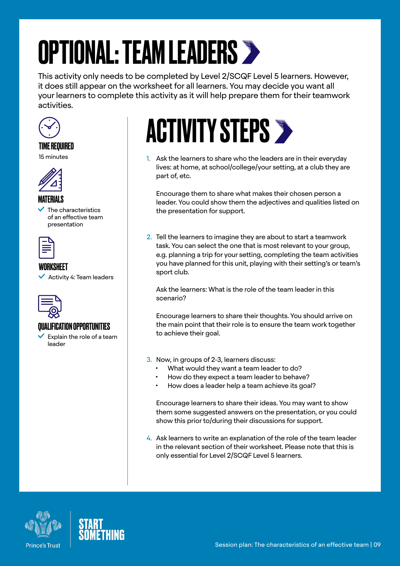# <span id="page-8-0"></span>OPTIONAL: TEAM LEADERS

This activity only needs to be completed by Level 2/SCQF Level 5 learners. However, it does still appear on the worksheet for all learners. You may decide you want all your learners to complete this activity as it will help prepare them for their teamwork activities.



### TIME REQUIRED

15 minutes



#### MATERIALS

 The characteristics of an effective team presentation



### WORKSHEET

 $\checkmark$  Activity 4: Team leaders



### QUALIFICATION OPPORTUNITIES

 $\checkmark$  Explain the role of a team leader

# **ACTIVITY STEPS >**

1. Ask the learners to share who the leaders are in their everyday lives: at home, at school/college/your setting, at a club they are part of, etc.

Encourage them to share what makes their chosen person a leader. You could show them the adjectives and qualities listed on the presentation for support.

2. Tell the learners to imagine they are about to start a teamwork task. You can select the one that is most relevant to your group, e.g. planning a trip for your setting, completing the team activities you have planned for this unit, playing with their setting's or team's sport club.

Ask the learners: What is the role of the team leader in this scenario?

Encourage learners to share their thoughts. You should arrive on the main point that their role is to ensure the team work together to achieve their goal.

- 3. Now, in groups of 2-3, learners discuss:
	- What would they want a team leader to do?
	- How do they expect a team leader to behave?
	- How does a leader help a team achieve its goal?

Encourage learners to share their ideas. You may want to show them some suggested answers on the presentation, or you could show this prior to/during their discussions for support.

4. Ask learners to write an explanation of the role of the team leader in the relevant section of their worksheet. Please note that this is only essential for Level 2/SCQF Level 5 learners.